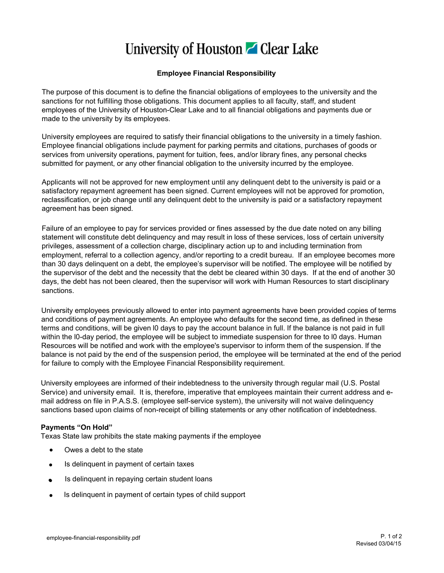## University of Houston **Z** Clear Lake

## **Employee Financial Responsibility**

The purpose of this document is to define the financial obligations of employees to the university and the sanctions for not fulfilling those obligations. This document applies to all faculty, staff, and student employees of the University of Houston-Clear Lake and to all financial obligations and payments due or made to the university by its employees.

University employees are required to satisfy their financial obligations to the university in a timely fashion. Employee financial obligations include payment for parking permits and citations, purchases of goods or services from university operations, payment for tuition, fees, and/or library fines, any personal checks submitted for payment, or any other financial obligation to the university incurred by the employee.

Applicants will not be approved for new employment until any delinquent debt to the university is paid or a satisfactory repayment agreement has been signed. Current employees will not be approved for promotion, reclassification, or job change until any delinquent debt to the university is paid or a satisfactory repayment agreement has been signed.

Failure of an employee to pay for services provided or fines assessed by the due date noted on any billing statement will constitute debt delinquency and may result in loss of these services, loss of certain university privileges, assessment of a collection charge, disciplinary action up to and including termination from employment, referral to a collection agency, and/or reporting to a credit bureau. If an employee becomes more than 30 days delinquent on a debt, the employee's supervisor will be notified. The employee will be notified by the supervisor of the debt and the necessity that the debt be cleared within 30 days. If at the end of another 30 days, the debt has not been cleared, then the supervisor will work with Human Resources to start disciplinary sanctions.

University employees previously allowed to enter into payment agreements have been provided copies of terms and conditions of payment agreements. An employee who defaults for the second time, as defined in these terms and conditions, will be given l0 days to pay the account balance in full. If the balance is not paid in full within the I0-day period, the employee will be subject to immediate suspension for three to I0 days. Human Resources will be notified and work with the employee's supervisor to inform them of the suspension. If the balance is not paid by the end of the suspension period, the employee will be terminated at the end of the period for failure to comply with the Employee Financial Responsibility requirement.

University employees are informed of their indebtedness to the university through regular mail (U.S. Postal Service) and university email. It is, therefore, imperative that employees maintain their current address and email address on file in P.A.S.S. (employee self-service system), the university will not waive delinquency sanctions based upon claims of non-receipt of billing statements or any other notification of indebtedness.

## **Payments "On Hold"**

Texas State law prohibits the state making payments if the employee

- Owes a debt to the state
- Is delinquent in payment of certain taxes
- Is delinquent in repaying certain student loans
- Is delinquent in payment of certain types of child support